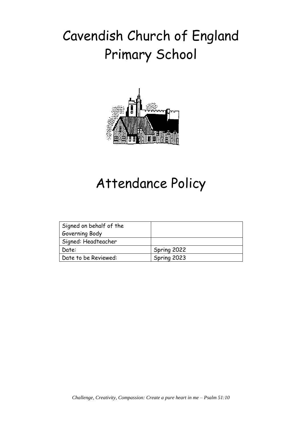# Cavendish Church of England Primary School



# Attendance Policy

| Signed on behalf of the |             |
|-------------------------|-------------|
| Governing Body          |             |
| Signed: Headteacher     |             |
| Date:                   | Spring 2022 |
| Date to be Reviewed:    | Spring 2023 |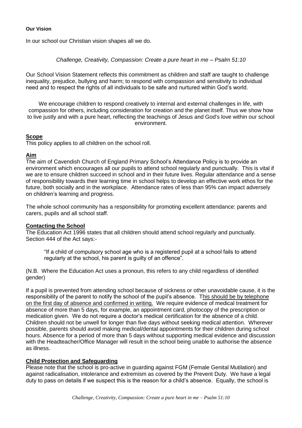#### **Our Vision**

In our school our Christian vision shapes all we do.

#### *Challenge, Creativity, Compassion: Create a pure heart in me – Psalm 51:10*

Our School Vision Statement reflects this commitment as children and staff are taught to challenge inequality, prejudice, bullying and harm; to respond with compassion and sensitivity to individual need and to respect the rights of all individuals to be safe and nurtured within God's world.

We encourage children to respond creatively to internal and external challenges in life, with compassion for others, including consideration for creation and the planet itself. Thus we show how to live justly and with a pure heart, reflecting the teachings of Jesus and God's love within our school environment.

#### **Scope**

This policy applies to all children on the school roll.

### **Aim**

The aim of Cavendish Church of England Primary School's Attendance Policy is to provide an environment which encourages all our pupils to attend school regularly and punctually. This is vital if we are to ensure children succeed in school and in their future lives. Regular attendance and a sense of responsibility towards their learning time in school helps to develop an effective work ethos for the future, both socially and in the workplace. Attendance rates of less than 95% can impact adversely on children's learning and progress.

The whole school community has a responsibility for promoting excellent attendance: parents and carers, pupils and all school staff.

#### **Contacting the School**

The Education Act 1996 states that all children should attend school regularly and punctually. Section 444 of the Act says:-

"If a child of compulsory school age who is a registered pupil at a school fails to attend regularly at the school, his parent is guilty of an offence".

(N.B. Where the Education Act uses a pronoun, this refers to any child regardless of identified gender)

If a pupil is prevented from attending school because of sickness or other unavoidable cause, it is the responsibility of the parent to notify the school of the pupil's absence. This should be by telephone on the first day of absence and confirmed in writing. We require evidence of medical treatment for absence of more than 5 days, for example, an appointment card, photocopy of the prescription or medication given. We do not require a doctor's medical certification for the absence of a child. Children should not be unwell for longer than five days without seeking medical attention. Wherever possible, parents should avoid making medical/dental appointments for their children during school hours. Absence for a period of more than 5 days without supporting medical evidence and discussion with the Headteacher/Office Manager will result in the school being unable to authorise the absence as illness.

### **Child Protection and Safeguarding**

Please note that the school is pro-active in guarding against FGM (Female Genital Mutilation) and against radicalisation, intolerance and extremism as covered by the Prevent Duty. We have a legal duty to pass on details if we suspect this is the reason for a child's absence. Equally, the school is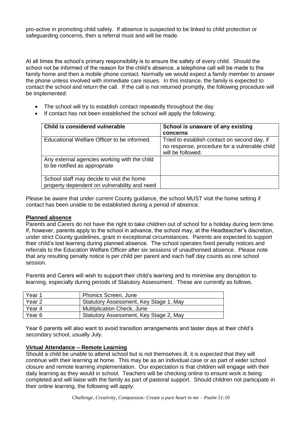pro-active in promoting child safety. If absence is suspected to be linked to child protection or safeguarding concerns, then a referral must and will be made.

At all times the school's primary responsibility is to ensure the safety of every child. Should the school not be informed of the reason for the child's absence, a telephone call will be made to the family home and then a mobile phone contact. Normally we would expect a family member to answer the phone unless involved with immediate care issues. In this instance, the family is expected to contact the school and return the call. If the call is not returned promptly, the following procedure will be implemented:

- The school will try to establish contact repeatedly throughout the day
- If contact has not been established the school will apply the following:

| Child is considered vulnerable                                                            | School is unaware of any existing<br>concerns                                                                      |
|-------------------------------------------------------------------------------------------|--------------------------------------------------------------------------------------------------------------------|
| Educational Welfare Officer to be informed.                                               | Tried to establish contact on second day, if<br>no response, procedure for a vulnerable child<br>will be followed. |
| Any external agencies working with the child<br>to be notified as appropriate             |                                                                                                                    |
| School staff may decide to visit the home<br>property dependent on vulnerability and need |                                                                                                                    |

Please be aware that under current County guidance, the school MUST visit the home setting if contact has been unable to be established during a period of absence.

### **Planned absence**

Parents and Carers do not have the right to take children out of school for a holiday during term time. If, however, parents apply to the school in advance, the school may, at the Headteacher's discretion, under strict County guidelines, grant in exceptional circumstances. Parents are expected to support their child's lost learning during planned absence. The school operates fixed penalty notices and referrals to the Education Welfare Officer after six sessions of unauthorised absence. Please note that any resulting penalty notice is per child per parent and each half day counts as one school session.

Parents and Carers will wish to support their child's learning and to minimise any disruption to learning, especially during periods of Statutory Assessment. These are currently as follows.

| Year 1 | Phonics Screen, June                   |
|--------|----------------------------------------|
| Year 2 | Statutory Assessment, Key Stage 1, May |
| Year 4 | <b>Multiplication Check, June</b>      |
| Year 6 | Statutory Assessment, Key Stage 2, May |

Year 6 parents will also want to avoid transition arrangements and taster days at their child's secondary school, usually July.

### **Virtual Attendance – Remote Learning**

Should a child be unable to attend school but is not themselves ill, it is expected that they will continue with their learning at home. This may be as an individual case or as part of wider school closure and remote learning implementation. Our expectation is that children will engage with their daily learning as they would in school. Teachers will be checking online to ensure work is being completed and will liaise with the family as part of pastoral support. Should children not participate in their online learning, the following will apply: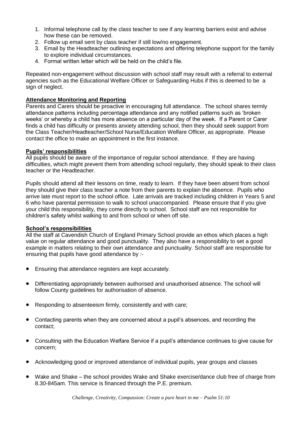- 1. Informal telephone call by the class teacher to see if any learning barriers exist and advise how these can be removed.
- 2. Follow up email sent by class teacher if still low/no engagement.
- 3. Email by the Headteacher outlining expectations and offering telephone support for the family to explore individual circumstances.
- 4. Formal written letter which will be held on the child's file.

Repeated non-engagement without discussion with school staff may result with a referral to external agencies such as the Educational Welfare Officer or Safeguarding Hubs if this is deemed to be a sign of neglect.

# **Attendance Monitoring and Reporting**

Parents and Carers should be proactive in encouraging full attendance. The school shares termly attendance patterns including percentage attendance and any notified patterns such as 'broken weeks' or whereby a child has more absence on a particular day of the week. If a Parent or Carer finds a child has difficulty or presents anxiety attending school, then they should seek support from the Class Teacher/Headteacher/School Nurse/Education Welfare Officer, as appropriate. Please contact the office to make an appointment in the first instance.

## **Pupils' responsibilities**

All pupils should be aware of the importance of regular school attendance. If they are having difficulties, which might prevent them from attending school regularly, they should speak to their class teacher or the Headteacher.

Pupils should attend all their lessons on time, ready to learn. If they have been absent from school they should give their class teacher a note from their parents to explain the absence. Pupils who arrive late must report to the school office. Late arrivals are tracked including children in Years 5 and 6 who have parental permission to walk to school unaccompanied. Please ensure that if you give your child this responsibility, they come directly to school. School staff are not responsible for children's safety whilst walking to and from school or when off site.

### **School's responsibilities**

All the staff at Cavendish Church of England Primary School provide an ethos which places a high value on regular attendance and good punctuality. They also have a responsibility to set a good example in matters relating to their own attendance and punctuality. School staff are responsible for ensuring that pupils have good attendance by :-

- Ensuring that attendance registers are kept accurately.
- Differentiating appropriately between authorised and unauthorised absence. The school will follow County guidelines for authorisation of absence.
- Responding to absenteeism firmly, consistently and with care;
- Contacting parents when they are concerned about a pupil's absences, and recording the contact;
- Consulting with the Education Welfare Service if a pupil's attendance continues to give cause for concern;
- Acknowledging good or improved attendance of individual pupils, year groups and classes
- Wake and Shake the school provides Wake and Shake exercise/dance club free of charge from 8.30-845am. This service is financed through the P.E. premium.